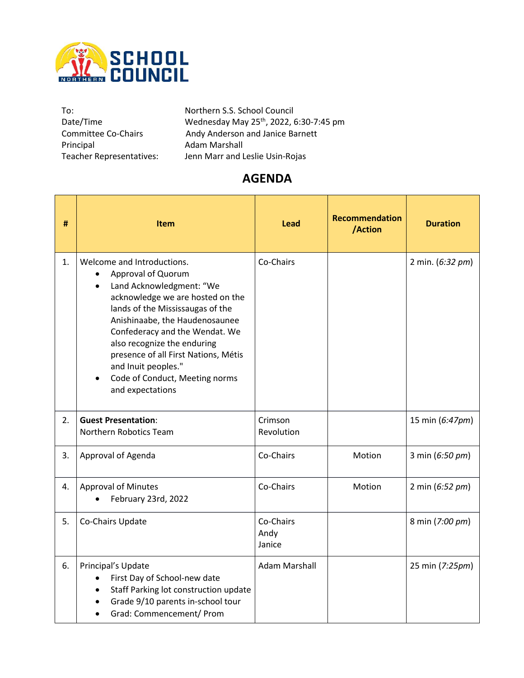

Principal **Adam Marshall**<br>Teacher Representatives: Jenn Marr and L

To: To: Northern S.S. School Council<br>Date/Time Wednesday May 25<sup>th</sup>, 2022, 6 Date/Time **Mednesday May 25<sup>th</sup>, 2022, 6:30-7:45** pm Committee Co-Chairs Andy Anderson and Janice Barnett Jenn Marr and Leslie Usin-Rojas

## **AGENDA**

| #  | <b>Item</b>                                                                                                                                                                                                                                                                                                                                                                                            | Lead                        | <b>Recommendation</b><br>/Action | <b>Duration</b>  |
|----|--------------------------------------------------------------------------------------------------------------------------------------------------------------------------------------------------------------------------------------------------------------------------------------------------------------------------------------------------------------------------------------------------------|-----------------------------|----------------------------------|------------------|
| 1. | Welcome and Introductions.<br>Approval of Quorum<br>Land Acknowledgment: "We<br>$\bullet$<br>acknowledge we are hosted on the<br>lands of the Mississaugas of the<br>Anishinaabe, the Haudenosaunee<br>Confederacy and the Wendat. We<br>also recognize the enduring<br>presence of all First Nations, Métis<br>and Inuit peoples."<br>Code of Conduct, Meeting norms<br>$\bullet$<br>and expectations | Co-Chairs                   |                                  | 2 min. (6:32 pm) |
| 2. | <b>Guest Presentation:</b><br>Northern Robotics Team                                                                                                                                                                                                                                                                                                                                                   | Crimson<br>Revolution       |                                  | 15 min (6:47pm)  |
| 3. | Approval of Agenda                                                                                                                                                                                                                                                                                                                                                                                     | Co-Chairs                   | Motion                           | 3 min (6:50 pm)  |
| 4. | <b>Approval of Minutes</b><br>February 23rd, 2022                                                                                                                                                                                                                                                                                                                                                      | Co-Chairs                   | Motion                           | 2 min (6:52 pm)  |
| 5. | Co-Chairs Update                                                                                                                                                                                                                                                                                                                                                                                       | Co-Chairs<br>Andy<br>Janice |                                  | 8 min (7:00 pm)  |
| 6. | Principal's Update<br>First Day of School-new date<br>Staff Parking lot construction update<br>$\bullet$<br>Grade 9/10 parents in-school tour<br>$\bullet$<br>Grad: Commencement/ Prom                                                                                                                                                                                                                 | <b>Adam Marshall</b>        |                                  | 25 min (7:25pm)  |